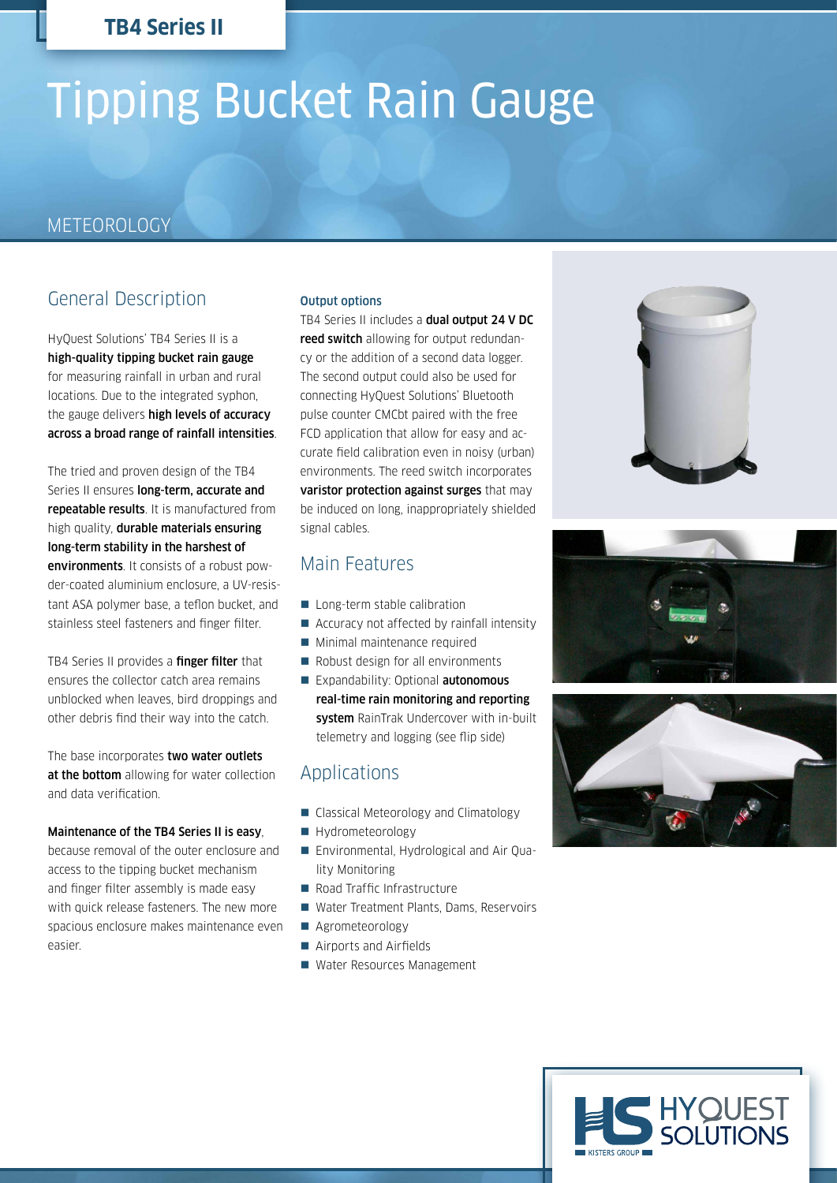# Tipping Bucket Rain Gauge

# METEOROLOGY

# General Description

HyQuest Solutions' TB4 Series II is a high-quality tipping bucket rain gauge for measuring rainfall in urban and rural locations. Due to the integrated syphon, the gauge delivers high levels of accuracy across a broad range of rainfall intensities.

The tried and proven design of the TB4 Series II ensures **long-term, accurate and** repeatable results. It is manufactured from high quality, durable materials ensuring long-term stability in the harshest of environments. It consists of a robust powder-coated aluminium enclosure, a UV-resistant ASA polymer base, a teflon bucket, and stainless steel fasteners and finger filter.

TB4 Series II provides a finger filter that ensures the collector catch area remains unblocked when leaves, bird droppings and other debris find their way into the catch.

The base incorporates two water outlets at the bottom allowing for water collection and data verification.

#### Maintenance of the TB4 Series II is easy,

because removal of the outer enclosure and access to the tipping bucket mechanism and finger filter assembly is made easy with quick release fasteners. The new more spacious enclosure makes maintenance even easier.

#### Output options

TB4 Series II includes a dual output 24 V DC reed switch allowing for output redundancy or the addition of a second data logger. The second output could also be used for connecting HyQuest Solutions' Bluetooth pulse counter CMCbt paired with the free FCD application that allow for easy and accurate field calibration even in noisy (urban) environments. The reed switch incorporates varistor protection against surges that may be induced on long, inappropriately shielded signal cables.

## Main Features

- Long-term stable calibration
- Accuracy not affected by rainfall intensity
- **Minimal maintenance required**
- Robust design for all environments Expandability: Optional **autonomous**
- real-time rain monitoring and reporting system RainTrak Undercover with in-built telemetry and logging (see flip side)

# Applications

- Classical Meteorology and Climatology
- Hydrometeorology
- Environmental, Hydrological and Air Quality Monitoring
- Road Traffic Infrastructure
- Water Treatment Plants, Dams, Reservoirs
- Agrometeorology
- Airports and Airfields
- Water Resources Management